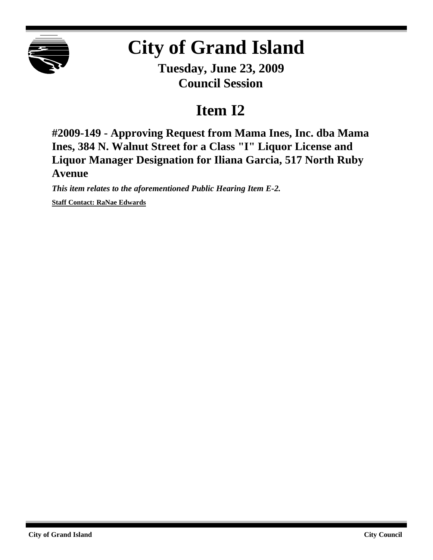

## **City of Grand Island**

**Tuesday, June 23, 2009 Council Session**

## **Item I2**

**#2009-149 - Approving Request from Mama Ines, Inc. dba Mama Ines, 384 N. Walnut Street for a Class "I" Liquor License and Liquor Manager Designation for Iliana Garcia, 517 North Ruby Avenue**

*This item relates to the aforementioned Public Hearing Item E-2.* **Staff Contact: RaNae Edwards**